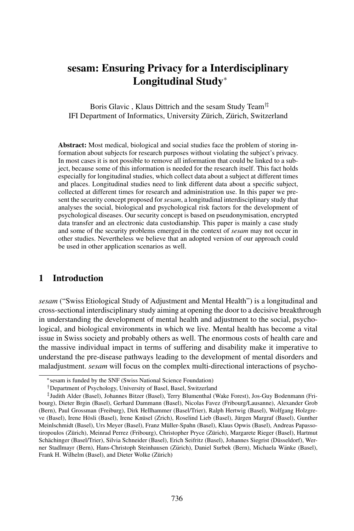# sesam: Ensuring Privacy for a Interdisciplinary Longitudinal Study<sup>∗</sup>

Boris Glavic , Klaus Dittrich and the sesam Study Team†‡ IFI Department of Informatics, University Zürich, Zürich, Switzerland

Abstract: Most medical, biological and social studies face the problem of storing information about subjects for research purposes without violating the subject's privacy. In most cases it is not possible to remove all information that could be linked to a subject, because some of this information is needed for the research itself. This fact holds especially for longitudinal studies, which collect data about a subject at different times and places. Longitudinal studies need to link different data about a specific subject, collected at different times for research and administration use. In this paper we present the security concept proposed for *sesam*, a longitudinal interdisciplinary study that analyses the social, biological and psychological risk factors for the development of psychological diseases. Our security concept is based on pseudonymisation, encrypted data transfer and an electronic data custodianship. This paper is mainly a case study and some of the security problems emerged in the context of *sesam* may not occur in other studies. Nevertheless we believe that an adopted version of our approach could be used in other application scenarios as well.

#### 1 Introduction

*sesam* ("Swiss Etiological Study of Adjustment and Mental Health") is a longitudinal and cross-sectional interdisciplinary study aiming at opening the door to a decisive breakthrough in understanding the development of mental health and adjustment to the social, psychological, and biological environments in which we live. Mental health has become a vital issue in Swiss society and probably others as well. The enormous costs of health care and the massive individual impact in terms of suffering and disability make it imperative to understand the pre-disease pathways leading to the development of mental disorders and maladjustment. *sesam* will focus on the complex multi-directional interactions of psycho-

<sup>∗</sup>sesam is funded by the SNF (Swiss National Science Foundation)

<sup>†</sup>Department of Psychology, University of Basel, Basel, Switzerland

<sup>‡</sup> Judith Alder (Basel), Johannes Bitzer (Basel), Terry Blumenthal (Wake Forest), Jos-Guy Bodenmann (Fribourg), Dieter Brgin (Basel), Gerhard Dammann (Basel), Nicolas Favez (Fribourg/Lausanne), Alexander Grob (Bern), Paul Grossman (Freiburg), Dirk Hellhammer (Basel/Trier), Ralph Hertwig (Basel), Wolfgang Holzgreve (Basel), Irene Hösli (Basel), Irene Knüsel (Zrich), Roselind Lieb (Basel), Jürgen Margraf (Basel), Gunther Meinlschmidt (Basel), Urs Meyer (Basel), Franz Müller-Spahn (Basel), Klaus Opwis (Basel), Andreas Papassotiropoulos (Zürich), Meinrad Perrez (Fribourg), Christopher Pryce (Zürich), Margarete Rieger (Basel), Hartmut Schächinger (Basel/Trier), Silvia Schneider (Basel), Erich Seifritz (Basel), Johannes Siegrist (Düsseldorf), Werner Stadlmayr (Bern), Hans-Christoph Steinhausen (Zürich), Daniel Surbek (Bern), Michaela Wänke (Basel), Frank H. Wilhelm (Basel), and Dieter Wolke (Zürich)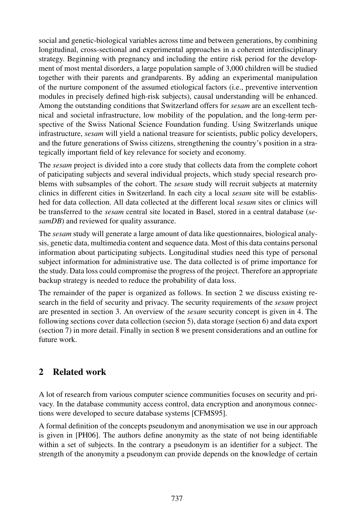social and genetic-biological variables across time and between generations, by combining longitudinal, cross-sectional and experimental approaches in a coherent interdisciplinary strategy. Beginning with pregnancy and including the entire risk period for the development of most mental disorders, a large population sample of 3,000 children will be studied together with their parents and grandparents. By adding an experimental manipulation of the nurture component of the assumed etiological factors (i.e., preventive intervention modules in precisely defined high-risk subjects), causal understanding will be enhanced. Among the outstanding conditions that Switzerland offers for *sesam* are an excellent technical and societal infrastructure, low mobility of the population, and the long-term perspective of the Swiss National Science Foundation funding. Using Switzerlands unique infrastructure, *sesam* will yield a national treasure for scientists, public policy developers, and the future generations of Swiss citizens, strengthening the country's position in a strategically important field of key relevance for society and economy.

The *sesam* project is divided into a core study that collects data from the complete cohort of paticipating subjects and several individual projects, which study special research problems with subsamples of the cohort. The *sesam* study will recruit subjects at maternity clinics in different cities in Switzerland. In each city a local *sesam* site will be established for data collection. All data collected at the different local *sesam* sites or clinics will be transferred to the *sesam* central site located in Basel, stored in a central database (*sesamDB*) and reviewed for quality assurance.

The *sesam* study will generate a large amount of data like questionnaires, biological analysis, genetic data, multimedia content and sequence data. Most of this data contains personal information about participating subjects. Longitudinal studies need this type of personal subject information for administrative use. The data collected is of prime importance for the study. Data loss could compromise the progress of the project. Therefore an appropriate backup strategy is needed to reduce the probability of data loss.

The remainder of the paper is organized as follows. In section 2 we discuss existing research in the field of security and privacy. The security requirements of the *sesam* project are presented in section 3. An overview of the *sesam* security concept is given in 4. The following sections cover data collection (secion 5), data storage (section 6) and data export (section 7) in more detail. Finally in section 8 we present considerations and an outline for future work.

### 2 Related work

A lot of research from various computer science communities focuses on security and privacy. In the database community access control, data encryption and anonymous connections were developed to secure database systems [CFMS95].

A formal definition of the concepts pseudonym and anonymisation we use in our approach is given in [PH06]. The authors define anonymity as the state of not being identifiable within a set of subjects. In the contrary a pseudonym is an identifier for a subject. The strength of the anonymity a pseudonym can provide depends on the knowledge of certain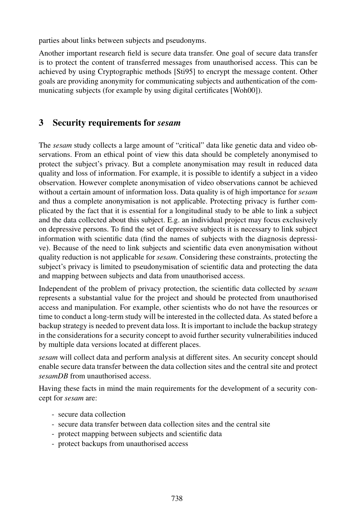parties about links between subjects and pseudonyms.

Another important research field is secure data transfer. One goal of secure data transfer is to protect the content of transferred messages from unauthorised access. This can be achieved by using Cryptographic methods [Sti95] to encrypt the message content. Other goals are providing anonymity for communicating subjects and authentication of the communicating subjects (for example by using digital certificates [Woh00]).

### 3 Security requirements for *sesam*

The *sesam* study collects a large amount of "critical" data like genetic data and video observations. From an ethical point of view this data should be completely anonymised to protect the subject's privacy. But a complete anonymisation may result in reduced data quality and loss of information. For example, it is possible to identify a subject in a video observation. However complete anonymisation of video observations cannot be achieved without a certain amount of information loss. Data quality is of high importance for *sesam* and thus a complete anonymisation is not applicable. Protecting privacy is further complicated by the fact that it is essential for a longitudinal study to be able to link a subject and the data collected about this subject. E.g. an individual project may focus exclusively on depressive persons. To find the set of depressive subjects it is necessary to link subject information with scientific data (find the names of subjects with the diagnosis depressive). Because of the need to link subjects and scientific data even anonymisation without quality reduction is not applicable for *sesam*. Considering these constraints, protecting the subject's privacy is limited to pseudonymisation of scientific data and protecting the data and mapping between subjects and data from unauthorised access.

Independent of the problem of privacy protection, the scientific data collected by *sesam* represents a substantial value for the project and should be protected from unauthorised access and manipulation. For example, other scientists who do not have the resources or time to conduct a long-term study will be interested in the collected data. As stated before a backup strategy is needed to prevent data loss. It is important to include the backup strategy in the considerations for a security concept to avoid further security vulnerabilities induced by multiple data versions located at different places.

*sesam* will collect data and perform analysis at different sites. An security concept should enable secure data transfer between the data collection sites and the central site and protect *sesamDB* from unauthorised access.

Having these facts in mind the main requirements for the development of a security concept for *sesam* are:

- secure data collection
- secure data transfer between data collection sites and the central site
- protect mapping between subjects and scientific data
- protect backups from unauthorised access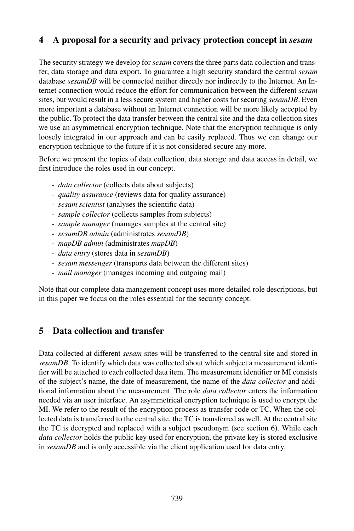### 4 A proposal forasecurity and privacy protection concept in *sesam*

The security strategy we develop for *sesam* covers the three parts data collection and transfer, data storage and data export. To guarantee a high security standard the central *sesam* database *sesamDB* will be connected neither directly nor indirectly to the Internet. An Internet connection would reduce the effort for communication between the different *sesam* sites, but would result in a less secure system and higher costs for securing *sesamDB*. Even more important a database without an Internet connection will be more likely accepted by the public. To protect the data transfer between the central site and the data collection sites we use an asymmetrical encryption technique. Note that the encryption technique is only loosely integrated in our approach and can be easily replaced. Thus we can change our encryption technique to the future if it is not considered secure any more.

Before we present the topics of data collection, data storage and data access in detail, we first introduce the roles used in our concept.

- *data collector* (collects data about subjects)
- *quality assurance* (reviews data for quality assurance)
- *sesam scientist* (analyses the scientific data)
- *sample collector* (collects samples from subjects)
- *sample manager* (manages samples at the central site)
- *sesamDB admin* (administrates *sesamDB*)
- *mapDB admin* (administrates *mapDB*)
- *data entry* (stores data in *sesamDB*)
- *sesam messenger* (transports data between the different sites)
- *mail manager* (manages incoming and outgoing mail)

Note that our complete data management concept uses more detailed role descriptions, but in this paper we focus on the roles essential for the security concept.

#### 5 Data collection and transfer

Data collected at different *sesam* sites will be transferred to the central site and stored in *sesamDB*. To identify which data was collected about which subject a measurement identifier will be attached to each collected data item. The measurement identifier or MI consists of the subject's name, the date of measurement, the name of the *data collector* and additional information about the measurement. The role *data collector* enters the information needed via an user interface. An asymmetrical encryption technique is used to encrypt the MI. We refer to the result of the encryption process as transfer code or TC. When the collected data is transferred to the central site, the TC is transferred as well. At the central site the TC is decrypted and replaced with a subject pseudonym (see section 6). While each *data collector* holds the public key used for encryption, the private key is stored exclusive in *sesamDB* and is only accessible via the client application used for data entry.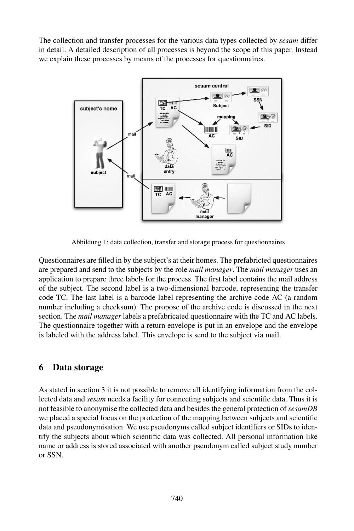The collection and transfer processes for the various data types collected by *sesam* differ in detail. A detailed description of all processes is beyond the scope of this paper. Instead we explain these processes by means of the processes for questionnaires.



Abbildung 1: data collection, transfer and storage process for questionnaires

Questionnaires are filled in by the subject's at their homes. The prefabricted questionnaires are prepared and send to the subjects by the role *mail manager*. The *mail manager* uses an application to prepare three labels for the process. The first label contains the mail address of the subject. The second label is a two-dimensional barcode, representing the transfer code TC. The last label is a barcode label representing the archive code AC (a random number including a checksum). The propose of the archive code is discussed in the next section. The *mail manager* labels a prefabricated questionnaire with the TC and AC labels. The questionnaire together with a return envelope is put in an envelope and the envelope is labeled with the address label. This envelope is send to the subject via mail.

### 6 Data storage

As stated in section 3 it is not possible to remove all identifying information from the collected data and *sesam* needs a facility for connecting subjects and scientific data. Thus it is not feasible to anonymise the collected data and besides the general protection of *sesamDB* we placed a special focus on the protection of the mapping between subjects and scientific data and pseudonymisation. We use pseudonyms called subject identifiers or SIDs to identify the subjects about which scientific data was collected. All personal information like name or address is stored associated with another pseudonym called subject study number or SSN.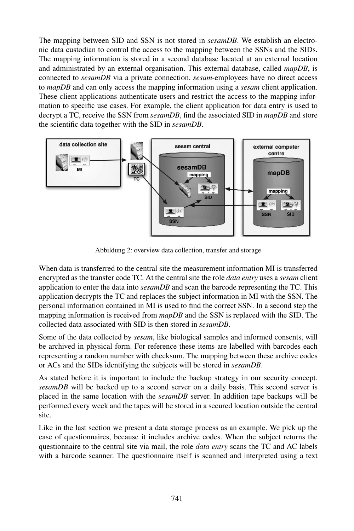The mapping between SID and SSN is not stored in *sesamDB*. We establish an electronic data custodian to control the access to the mapping between the SSNs and the SIDs. The mapping information is stored in a second database located at an external location and administrated by an external organisation. This external database, called *mapDB*, is connected to *sesamDB* via a private connection. *sesam*-employees have no direct access to *mapDB* and can only access the mapping information using a *sesam* client application. These client applications authenticate users and restrict the access to the mapping information to specific use cases. For example, the client application for data entry is used to decrypt a TC, receive the SSN from *sesamDB*, find the associated SID in *mapDB* and store the scientific data together with the SID in *sesamDB*.



Abbildung 2: overview data collection, transfer and storage

When data is transferred to the central site the measurement information MI is transferred encrypted as the transfer code TC. At the central site the role *data entry* uses a *sesam* client application to enter the data into *sesamDB* and scan the barcode representing the TC. This application decrypts the TC and replaces the subject information in MI with the SSN. The personal information contained in MI is used to find the correct SSN. In a second step the mapping information is received from *mapDB* and the SSN is replaced with the SID. The collected data associated with SID is then stored in *sesamDB*.

Some of the data collected by *sesam*, like biological samples and informed consents, will be archived in physical form. For reference these items are labelled with barcodes each representing a random number with checksum. The mapping between these archive codes or ACs and the SIDs identifying the subjects will be stored in *sesamDB*.

As stated before it is important to include the backup strategy in our security concept. *sesamDB* will be backed up to a second server on a daily basis. This second server is placed in the same location with the *sesamDB* server. In addition tape backups will be performed every week and the tapes will be stored in a secured location outside the central site.

Like in the last section we present a data storage process as an example. We pick up the case of questionnaires, because it includes archive codes. When the subject returns the questionnaire to the central site via mail, the role *data entry* scans the TC and AC labels with a barcode scanner. The questionnaire itself is scanned and interpreted using a text